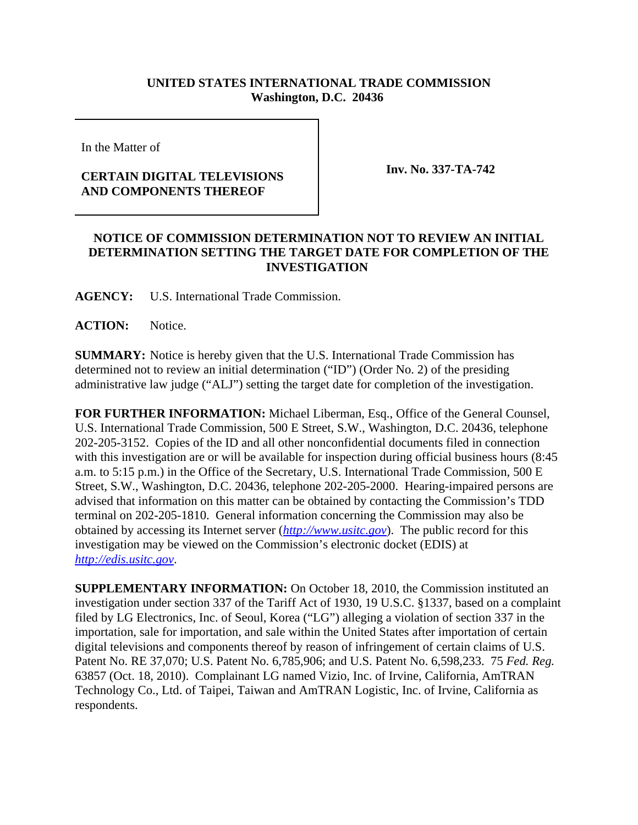## **UNITED STATES INTERNATIONAL TRADE COMMISSION Washington, D.C. 20436**

In the Matter of

## **CERTAIN DIGITAL TELEVISIONS AND COMPONENTS THEREOF**

**Inv. No. 337-TA-742**

## **NOTICE OF COMMISSION DETERMINATION NOT TO REVIEW AN INITIAL DETERMINATION SETTING THE TARGET DATE FOR COMPLETION OF THE INVESTIGATION**

**AGENCY:** U.S. International Trade Commission.

**ACTION:** Notice.

**SUMMARY:** Notice is hereby given that the U.S. International Trade Commission has determined not to review an initial determination ("ID") (Order No. 2) of the presiding administrative law judge ("ALJ") setting the target date for completion of the investigation.

**FOR FURTHER INFORMATION:** Michael Liberman, Esq., Office of the General Counsel, U.S. International Trade Commission, 500 E Street, S.W., Washington, D.C. 20436, telephone 202-205-3152. Copies of the ID and all other nonconfidential documents filed in connection with this investigation are or will be available for inspection during official business hours (8:45 a.m. to 5:15 p.m.) in the Office of the Secretary, U.S. International Trade Commission, 500 E Street, S.W., Washington, D.C. 20436, telephone 202-205-2000. Hearing-impaired persons are advised that information on this matter can be obtained by contacting the Commission's TDD terminal on 202-205-1810. General information concerning the Commission may also be obtained by accessing its Internet server (*http://www.usitc.gov*). The public record for this investigation may be viewed on the Commission's electronic docket (EDIS) at *http://edis.usitc.gov*.

**SUPPLEMENTARY INFORMATION:** On October 18, 2010, the Commission instituted an investigation under section 337 of the Tariff Act of 1930, 19 U.S.C. §1337, based on a complaint filed by LG Electronics, Inc. of Seoul, Korea ("LG") alleging a violation of section 337 in the importation, sale for importation, and sale within the United States after importation of certain digital televisions and components thereof by reason of infringement of certain claims of U.S. Patent No. RE 37,070; U.S. Patent No. 6,785,906; and U.S. Patent No. 6,598,233. 75 *Fed. Reg.* 63857 (Oct. 18, 2010). Complainant LG named Vizio, Inc. of Irvine, California, AmTRAN Technology Co., Ltd. of Taipei, Taiwan and AmTRAN Logistic, Inc. of Irvine, California as respondents.